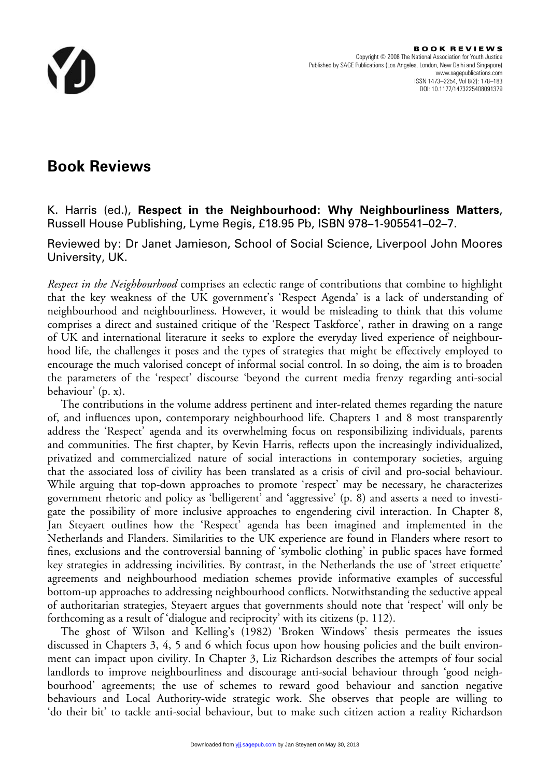

## **Book Reviews**

K. Harris (ed.), **Respect in the Neighbourhood: Why Neighbourliness Matters**, Russell House Publishing, Lyme Regis, £18.95 Pb, ISBN 978–1-905541–02–7.

Reviewed by: Dr Janet Jamieson, School of Social Science, Liverpool John Moores University, UK.

*Respect in the Neighbourhood* comprises an eclectic range of contributions that combine to highlight that the key weakness of the UK government's 'Respect Agenda' is a lack of understanding of neighbourhood and neighbourliness. However, it would be misleading to think that this volume comprises a direct and sustained critique of the 'Respect Taskforce', rather in drawing on a range of UK and international literature it seeks to explore the everyday lived experience of neighbourhood life, the challenges it poses and the types of strategies that might be effectively employed to encourage the much valorised concept of informal social control. In so doing, the aim is to broaden the parameters of the 'respect' discourse 'beyond the current media frenzy regarding anti-social behaviour' (p. x).

The contributions in the volume address pertinent and inter-related themes regarding the nature of, and influences upon, contemporary neighbourhood life. Chapters 1 and 8 most transparently address the 'Respect' agenda and its overwhelming focus on responsibilizing individuals, parents and communities. The first chapter, by Kevin Harris, reflects upon the increasingly individualized, privatized and commercialized nature of social interactions in contemporary societies, arguing that the associated loss of civility has been translated as a crisis of civil and pro-social behaviour. While arguing that top-down approaches to promote 'respect' may be necessary, he characterizes government rhetoric and policy as 'belligerent' and 'aggressive' (p. 8) and asserts a need to investigate the possibility of more inclusive approaches to engendering civil interaction. In Chapter 8, Jan Steyaert outlines how the 'Respect' agenda has been imagined and implemented in the Netherlands and Flanders. Similarities to the UK experience are found in Flanders where resort to fines, exclusions and the controversial banning of 'symbolic clothing' in public spaces have formed key strategies in addressing incivilities. By contrast, in the Netherlands the use of 'street etiquette' agreements and neighbourhood mediation schemes provide informative examples of successful bottom-up approaches to addressing neighbourhood conflicts. Notwithstanding the seductive appeal of authoritarian strategies, Steyaert argues that governments should note that 'respect' will only be forthcoming as a result of 'dialogue and reciprocity' with its citizens (p. 112).

The ghost of Wilson and Kelling's (1982) 'Broken Windows' thesis permeates the issues discussed in Chapters 3, 4, 5 and 6 which focus upon how housing policies and the built environment can impact upon civility. In Chapter 3, Liz Richardson describes the attempts of four social landlords to improve neighbourliness and discourage anti-social behaviour through 'good neighbourhood' agreements; the use of schemes to reward good behaviour and sanction negative behaviours and Local Authority-wide strategic work. She observes that people are willing to 'do their bit' to tackle anti-social behaviour, but to make such citizen action a reality Richardson